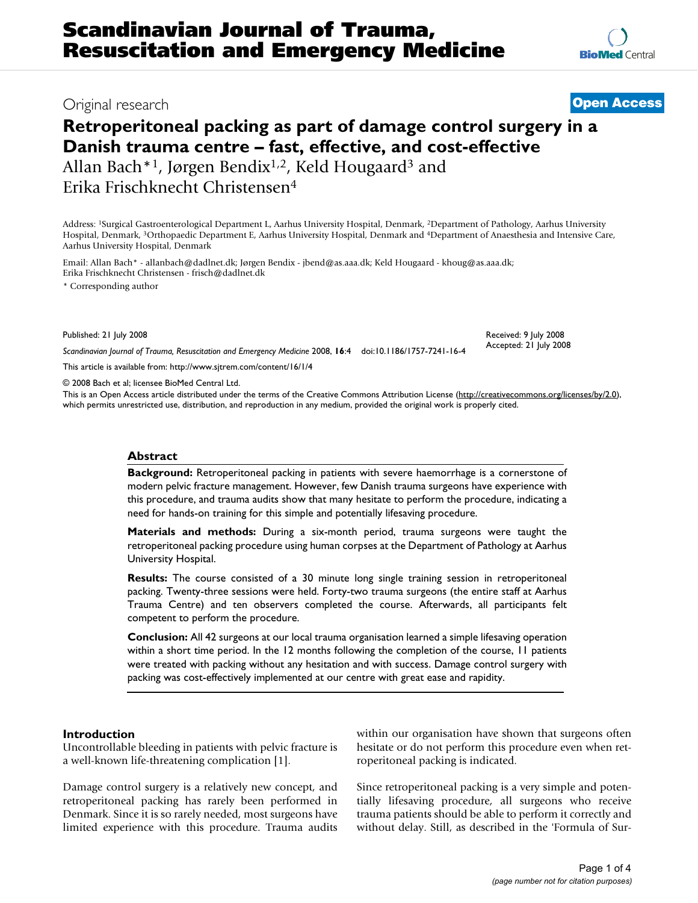## Original research **[Open Access](http://www.biomedcentral.com/info/about/charter/)**

# **Retroperitoneal packing as part of damage control surgery in a Danish trauma centre – fast, effective, and cost-effective** Allan Bach\*1, Jørgen Bendix1,2, Keld Hougaard3 and Erika Frischknecht Christensen4

Address: 1Surgical Gastroenterological Department L, Aarhus University Hospital, Denmark, 2Department of Pathology, Aarhus University Hospital, Denmark, 3Orthopaedic Department E, Aarhus University Hospital, Denmark and 4Department of Anaesthesia and Intensive Care, Aarhus University Hospital, Denmark

Email: Allan Bach\* - allanbach@dadlnet.dk; Jørgen Bendix - jbend@as.aaa.dk; Keld Hougaard - khoug@as.aaa.dk; Erika Frischknecht Christensen - frisch@dadlnet.dk

\* Corresponding author

Published: 21 July 2008

*Scandinavian Journal of Trauma, Resuscitation and Emergency Medicine* 2008, **16**:4 doi:10.1186/1757-7241-16-4

[This article is available from: http://www.sjtrem.com/content/16/1/4](http://www.sjtrem.com/content/16/1/4)

© 2008 Bach et al; licensee BioMed Central Ltd.

This is an Open Access article distributed under the terms of the Creative Commons Attribution License [\(http://creativecommons.org/licenses/by/2.0\)](http://creativecommons.org/licenses/by/2.0), which permits unrestricted use, distribution, and reproduction in any medium, provided the original work is properly cited.

#### **Abstract**

**Background:** Retroperitoneal packing in patients with severe haemorrhage is a cornerstone of modern pelvic fracture management. However, few Danish trauma surgeons have experience with this procedure, and trauma audits show that many hesitate to perform the procedure, indicating a need for hands-on training for this simple and potentially lifesaving procedure.

**Materials and methods:** During a six-month period, trauma surgeons were taught the retroperitoneal packing procedure using human corpses at the Department of Pathology at Aarhus University Hospital.

**Results:** The course consisted of a 30 minute long single training session in retroperitoneal packing. Twenty-three sessions were held. Forty-two trauma surgeons (the entire staff at Aarhus Trauma Centre) and ten observers completed the course. Afterwards, all participants felt competent to perform the procedure.

**Conclusion:** All 42 surgeons at our local trauma organisation learned a simple lifesaving operation within a short time period. In the 12 months following the completion of the course, 11 patients were treated with packing without any hesitation and with success. Damage control surgery with packing was cost-effectively implemented at our centre with great ease and rapidity.

### **Introduction**

Uncontrollable bleeding in patients with pelvic fracture is a well-known life-threatening complication [1].

Damage control surgery is a relatively new concept, and retroperitoneal packing has rarely been performed in Denmark. Since it is so rarely needed, most surgeons have limited experience with this procedure. Trauma audits within our organisation have shown that surgeons often hesitate or do not perform this procedure even when retroperitoneal packing is indicated.

Received: 9 July 2008 Accepted: 21 July 2008

Since retroperitoneal packing is a very simple and potentially lifesaving procedure, all surgeons who receive trauma patients should be able to perform it correctly and without delay. Still, as described in the 'Formula of Sur-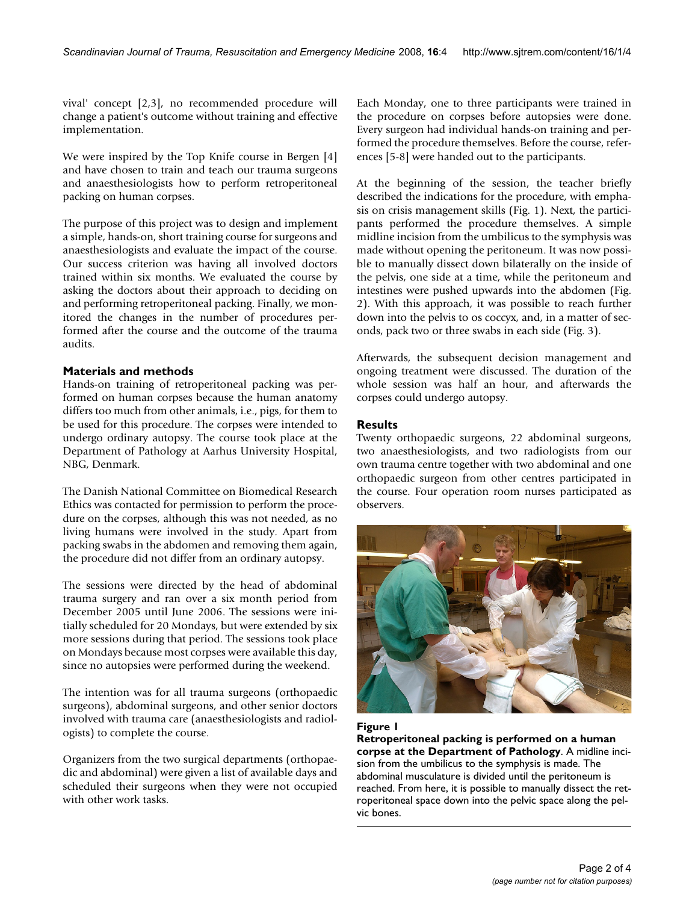vival' concept [2,3], no recommended procedure will change a patient's outcome without training and effective implementation.

We were inspired by the Top Knife course in Bergen [4] and have chosen to train and teach our trauma surgeons and anaesthesiologists how to perform retroperitoneal packing on human corpses.

The purpose of this project was to design and implement a simple, hands-on, short training course for surgeons and anaesthesiologists and evaluate the impact of the course. Our success criterion was having all involved doctors trained within six months. We evaluated the course by asking the doctors about their approach to deciding on and performing retroperitoneal packing. Finally, we monitored the changes in the number of procedures performed after the course and the outcome of the trauma audits.

### **Materials and methods**

Hands-on training of retroperitoneal packing was performed on human corpses because the human anatomy differs too much from other animals, i.e., pigs, for them to be used for this procedure. The corpses were intended to undergo ordinary autopsy. The course took place at the Department of Pathology at Aarhus University Hospital, NBG, Denmark.

The Danish National Committee on Biomedical Research Ethics was contacted for permission to perform the procedure on the corpses, although this was not needed, as no living humans were involved in the study. Apart from packing swabs in the abdomen and removing them again, the procedure did not differ from an ordinary autopsy.

The sessions were directed by the head of abdominal trauma surgery and ran over a six month period from December 2005 until June 2006. The sessions were initially scheduled for 20 Mondays, but were extended by six more sessions during that period. The sessions took place on Mondays because most corpses were available this day, since no autopsies were performed during the weekend.

The intention was for all trauma surgeons (orthopaedic surgeons), abdominal surgeons, and other senior doctors involved with trauma care (anaesthesiologists and radiologists) to complete the course.

Organizers from the two surgical departments (orthopaedic and abdominal) were given a list of available days and scheduled their surgeons when they were not occupied with other work tasks.

Each Monday, one to three participants were trained in the procedure on corpses before autopsies were done. Every surgeon had individual hands-on training and performed the procedure themselves. Before the course, references [5-8] were handed out to the participants.

At the beginning of the session, the teacher briefly described the indications for the procedure, with emphasis on crisis management skills (Fig. 1). Next, the participants performed the procedure themselves. A simple midline incision from the umbilicus to the symphysis was made without opening the peritoneum. It was now possible to manually dissect down bilaterally on the inside of the pelvis, one side at a time, while the peritoneum and intestines were pushed upwards into the abdomen (Fig. 2). With this approach, it was possible to reach further down into the pelvis to os coccyx, and, in a matter of seconds, pack two or three swabs in each side (Fig. 3).

Afterwards, the subsequent decision management and ongoing treatment were discussed. The duration of the whole session was half an hour, and afterwards the corpses could undergo autopsy.

### **Results**

Twenty orthopaedic surgeons, 22 abdominal surgeons, two anaesthesiologists, and two radiologists from our own trauma centre together with two abdominal and one orthopaedic surgeon from other centres participated in the course. Four operation room nurses participated as observers.



#### Figure 1

**Retroperitoneal packing is performed on a human corpse at the Department of Pathology**. A midline incision from the umbilicus to the symphysis is made. The abdominal musculature is divided until the peritoneum is reached. From here, it is possible to manually dissect the retroperitoneal space down into the pelvic space along the pelvic bones.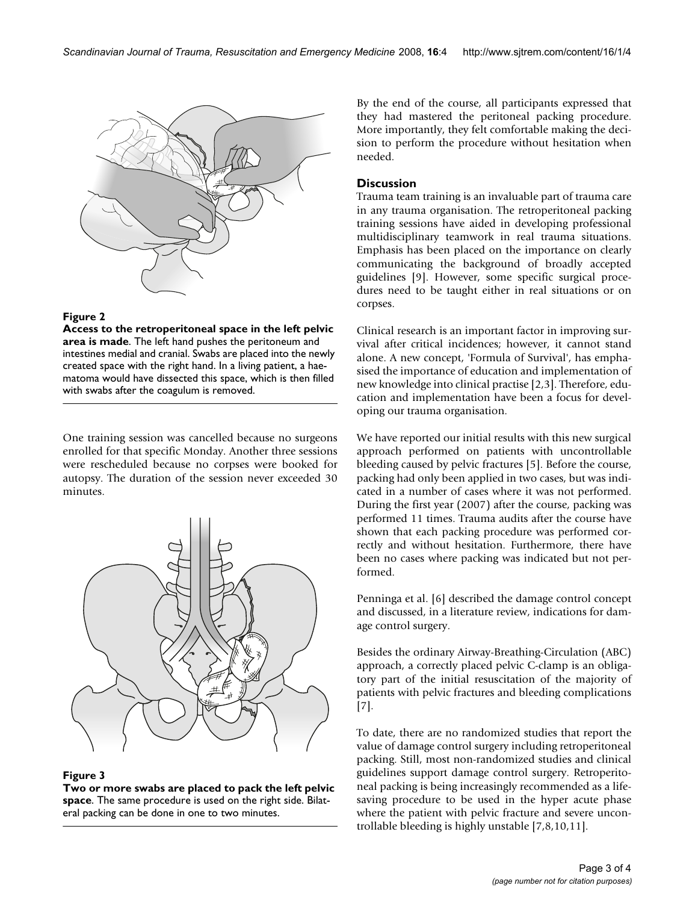

## **Figure 2**

**Access to the retroperitoneal space in the left pelvic area is made**. The left hand pushes the peritoneum and intestines medial and cranial. Swabs are placed into the newly created space with the right hand. In a living patient, a haematoma would have dissected this space, which is then filled with swabs after the coagulum is removed.

One training session was cancelled because no surgeons enrolled for that specific Monday. Another three sessions were rescheduled because no corpses were booked for autopsy. The duration of the session never exceeded 30 minutes.



### Figure 3

**Two or more swabs are placed to pack the left pelvic space**. The same procedure is used on the right side. Bilateral packing can be done in one to two minutes.

By the end of the course, all participants expressed that they had mastered the peritoneal packing procedure. More importantly, they felt comfortable making the decision to perform the procedure without hesitation when needed.

## **Discussion**

Trauma team training is an invaluable part of trauma care in any trauma organisation. The retroperitoneal packing training sessions have aided in developing professional multidisciplinary teamwork in real trauma situations. Emphasis has been placed on the importance on clearly communicating the background of broadly accepted guidelines [9]. However, some specific surgical procedures need to be taught either in real situations or on corpses.

Clinical research is an important factor in improving survival after critical incidences; however, it cannot stand alone. A new concept, 'Formula of Survival', has emphasised the importance of education and implementation of new knowledge into clinical practise [2,3]. Therefore, education and implementation have been a focus for developing our trauma organisation.

We have reported our initial results with this new surgical approach performed on patients with uncontrollable bleeding caused by pelvic fractures [5]. Before the course, packing had only been applied in two cases, but was indicated in a number of cases where it was not performed. During the first year (2007) after the course, packing was performed 11 times. Trauma audits after the course have shown that each packing procedure was performed correctly and without hesitation. Furthermore, there have been no cases where packing was indicated but not performed.

Penninga et al. [6] described the damage control concept and discussed, in a literature review, indications for damage control surgery.

Besides the ordinary Airway-Breathing-Circulation (ABC) approach, a correctly placed pelvic C-clamp is an obligatory part of the initial resuscitation of the majority of patients with pelvic fractures and bleeding complications [7].

To date, there are no randomized studies that report the value of damage control surgery including retroperitoneal packing. Still, most non-randomized studies and clinical guidelines support damage control surgery. Retroperitoneal packing is being increasingly recommended as a lifesaving procedure to be used in the hyper acute phase where the patient with pelvic fracture and severe uncontrollable bleeding is highly unstable [7,8,10,11].